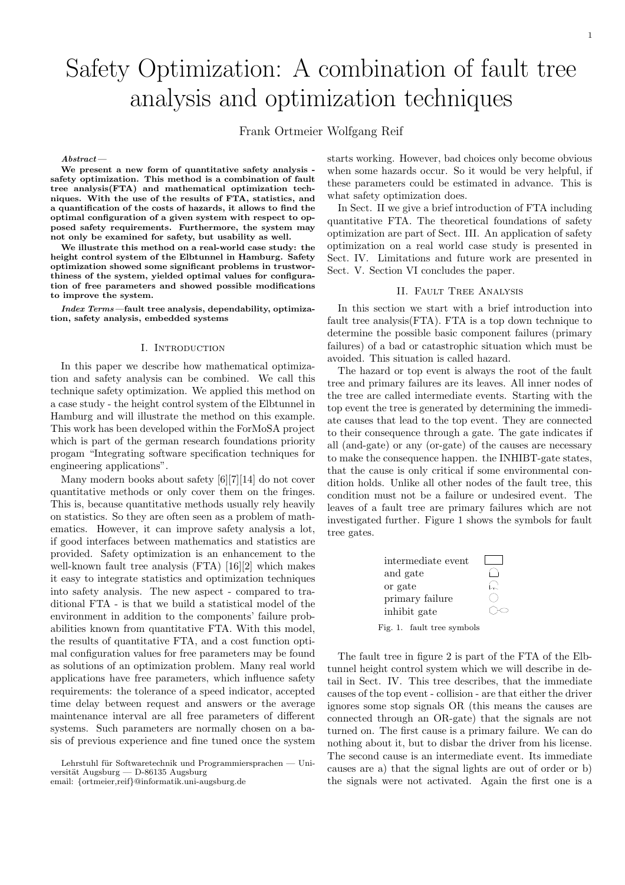# Safety Optimization: A combination of fault tree analysis and optimization techniques

Frank Ortmeier Wolfgang Reif

#### Abstract—

We present a new form of quantitative safety analysis safety optimization. This method is a combination of fault tree analysis(FTA) and mathematical optimization techniques. With the use of the results of FTA, statistics, and a quantification of the costs of hazards, it allows to find the optimal configuration of a given system with respect to opposed safety requirements. Furthermore, the system may not only be examined for safety, but usability as well.

We illustrate this method on a real-world case study: the height control system of the Elbtunnel in Hamburg. Safety optimization showed some significant problems in trustworthiness of the system, yielded optimal values for configuration of free parameters and showed possible modifications to improve the system.

Index Terms—fault tree analysis, dependability, optimization, safety analysis, embedded systems

#### I. Introduction

In this paper we describe how mathematical optimization and safety analysis can be combined. We call this technique safety optimization. We applied this method on a case study - the height control system of the Elbtunnel in Hamburg and will illustrate the method on this example. This work has been developed within the ForMoSA project which is part of the german research foundations priority progam "Integrating software specification techniques for engineering applications".

Many modern books about safety [6][7][14] do not cover quantitative methods or only cover them on the fringes. This is, because quantitative methods usually rely heavily on statistics. So they are often seen as a problem of mathematics. However, it can improve safety analysis a lot, if good interfaces between mathematics and statistics are provided. Safety optimization is an enhancement to the well-known fault tree analysis (FTA) [16][2] which makes it easy to integrate statistics and optimization techniques into safety analysis. The new aspect - compared to traditional FTA - is that we build a statistical model of the environment in addition to the components' failure probabilities known from quantitative FTA. With this model, the results of quantitative FTA, and a cost function optimal configuration values for free parameters may be found as solutions of an optimization problem. Many real world applications have free parameters, which influence safety requirements: the tolerance of a speed indicator, accepted time delay between request and answers or the average maintenance interval are all free parameters of different systems. Such parameters are normally chosen on a basis of previous experience and fine tuned once the system

Lehrstuhl für Softwaretechnik und Programmiersprachen — Universität Augsburg — D-86135 Augsburg email: {ortmeier,reif}@informatik.uni-augsburg.de

starts working. However, bad choices only become obvious when some hazards occur. So it would be very helpful, if these parameters could be estimated in advance. This is what safety optimization does.

In Sect. II we give a brief introduction of FTA including quantitative FTA. The theoretical foundations of safety optimization are part of Sect. III. An application of safety optimization on a real world case study is presented in Sect. IV. Limitations and future work are presented in Sect. V. Section VI concludes the paper.

## II. Fault Tree Analysis

In this section we start with a brief introduction into fault tree analysis(FTA). FTA is a top down technique to determine the possible basic component failures (primary failures) of a bad or catastrophic situation which must be avoided. This situation is called hazard.

The hazard or top event is always the root of the fault tree and primary failures are its leaves. All inner nodes of the tree are called intermediate events. Starting with the top event the tree is generated by determining the immediate causes that lead to the top event. They are connected to their consequence through a gate. The gate indicates if all (and-gate) or any (or-gate) of the causes are necessary to make the consequence happen. the INHIBT-gate states, that the cause is only critical if some environmental condition holds. Unlike all other nodes of the fault tree, this condition must not be a failure or undesired event. The leaves of a fault tree are primary failures which are not investigated further. Figure 1 shows the symbols for fault tree gates.



Fig. 1. fault tree symbols

The fault tree in figure 2 is part of the FTA of the Elbtunnel height control system which we will describe in detail in Sect. IV. This tree describes, that the immediate causes of the top event - collision - are that either the driver ignores some stop signals OR (this means the causes are connected through an OR-gate) that the signals are not turned on. The first cause is a primary failure. We can do nothing about it, but to disbar the driver from his license. The second cause is an intermediate event. Its immediate causes are a) that the signal lights are out of order or b) the signals were not activated. Again the first one is a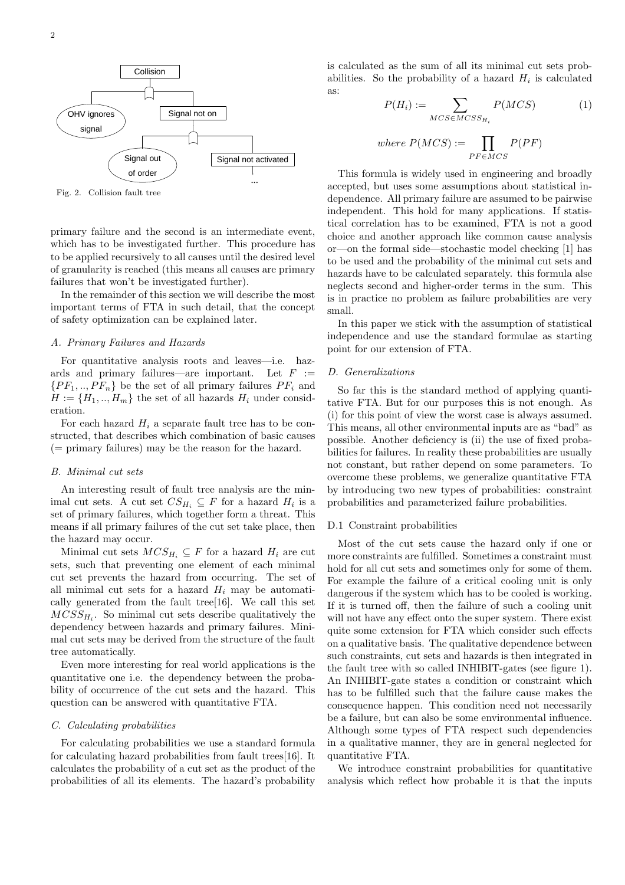

Fig. 2. Collision fault tree

primary failure and the second is an intermediate event, which has to be investigated further. This procedure has to be applied recursively to all causes until the desired level of granularity is reached (this means all causes are primary failures that won't be investigated further).

In the remainder of this section we will describe the most important terms of FTA in such detail, that the concept of safety optimization can be explained later.

## A. Primary Failures and Hazards

For quantitative analysis roots and leaves—i.e. hazards and primary failures—are important. Let  $F :=$  $\{PF_1, ..., PF_n\}$  be the set of all primary failures  $PF_i$  and  $H := \{H_1, ..., H_m\}$  the set of all hazards  $H_i$  under consideration.

For each hazard  $H_i$  a separate fault tree has to be constructed, that describes which combination of basic causes  $($  = primary failures) may be the reason for the hazard.

## B. Minimal cut sets

An interesting result of fault tree analysis are the minimal cut sets. A cut set  $CS_{H_i} \subseteq F$  for a hazard  $H_i$  is a set of primary failures, which together form a threat. This means if all primary failures of the cut set take place, then the hazard may occur.

Minimal cut sets  $MCS_{H_i} \subseteq F$  for a hazard  $H_i$  are cut sets, such that preventing one element of each minimal cut set prevents the hazard from occurring. The set of all minimal cut sets for a hazard  $H_i$  may be automatically generated from the fault tree[16]. We call this set  $MCSS_{H_i}$ . So minimal cut sets describe qualitatively the dependency between hazards and primary failures. Minimal cut sets may be derived from the structure of the fault tree automatically.

Even more interesting for real world applications is the quantitative one i.e. the dependency between the probability of occurrence of the cut sets and the hazard. This question can be answered with quantitative FTA.

## C. Calculating probabilities

For calculating probabilities we use a standard formula for calculating hazard probabilities from fault trees[16]. It calculates the probability of a cut set as the product of the probabilities of all its elements. The hazard's probability

is calculated as the sum of all its minimal cut sets probabilities. So the probability of a hazard  $H_i$  is calculated as:

$$
P(H_i) := \sum_{MCS \in MCSS_{H_i}} P(MCS) \tag{1}
$$

where 
$$
P(MCS) := \prod_{PF \in MCS} P(PF)
$$

This formula is widely used in engineering and broadly accepted, but uses some assumptions about statistical independence. All primary failure are assumed to be pairwise independent. This hold for many applications. If statistical correlation has to be examined, FTA is not a good choice and another approach like common cause analysis or—on the formal side—stochastic model checking [1] has to be used and the probability of the minimal cut sets and hazards have to be calculated separately. this formula alse neglects second and higher-order terms in the sum. This is in practice no problem as failure probabilities are very small.

In this paper we stick with the assumption of statistical independence and use the standard formulae as starting point for our extension of FTA.

## D. Generalizations

So far this is the standard method of applying quantitative FTA. But for our purposes this is not enough. As (i) for this point of view the worst case is always assumed. This means, all other environmental inputs are as "bad" as possible. Another deficiency is (ii) the use of fixed probabilities for failures. In reality these probabilities are usually not constant, but rather depend on some parameters. To overcome these problems, we generalize quantitative FTA by introducing two new types of probabilities: constraint probabilities and parameterized failure probabilities.

## D.1 Constraint probabilities

Most of the cut sets cause the hazard only if one or more constraints are fulfilled. Sometimes a constraint must hold for all cut sets and sometimes only for some of them. For example the failure of a critical cooling unit is only dangerous if the system which has to be cooled is working. If it is turned off, then the failure of such a cooling unit will not have any effect onto the super system. There exist quite some extension for FTA which consider such effects on a qualitative basis. The qualitative dependence between such constraints, cut sets and hazards is then integrated in the fault tree with so called INHIBIT-gates (see figure 1). An INHIBIT-gate states a condition or constraint which has to be fulfilled such that the failure cause makes the consequence happen. This condition need not necessarily be a failure, but can also be some environmental influence. Although some types of FTA respect such dependencies in a qualitative manner, they are in general neglected for quantitative FTA.

We introduce constraint probabilities for quantitative analysis which reflect how probable it is that the inputs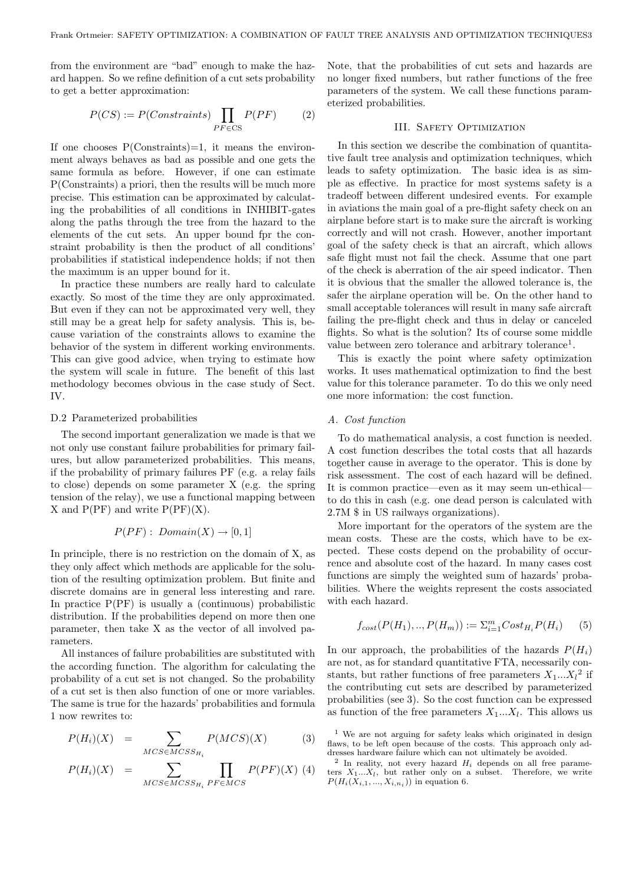from the environment are "bad" enough to make the hazard happen. So we refine definition of a cut sets probability to get a better approximation:

$$
P(CS) := P(Constraints) \prod_{PF \in CS} P(PF) \tag{2}
$$

If one chooses  $P(Constraints)=1$ , it means the environment always behaves as bad as possible and one gets the same formula as before. However, if one can estimate P(Constraints) a priori, then the results will be much more precise. This estimation can be approximated by calculating the probabilities of all conditions in INHIBIT-gates along the paths through the tree from the hazard to the elements of the cut sets. An upper bound fpr the constraint probability is then the product of all conditions' probabilities if statistical independence holds; if not then the maximum is an upper bound for it.

In practice these numbers are really hard to calculate exactly. So most of the time they are only approximated. But even if they can not be approximated very well, they still may be a great help for safety analysis. This is, because variation of the constraints allows to examine the behavior of the system in different working environments. This can give good advice, when trying to estimate how the system will scale in future. The benefit of this last methodology becomes obvious in the case study of Sect. IV.

## D.2 Parameterized probabilities

The second important generalization we made is that we not only use constant failure probabilities for primary failures, but allow parameterized probabilities. This means, if the probability of primary failures PF (e.g. a relay fails to close) depends on some parameter X (e.g. the spring tension of the relay), we use a functional mapping between X and  $P(PF)$  and write  $P(PF)(X)$ .

$$
P(PF): Domain(X) \to [0,1]
$$

In principle, there is no restriction on the domain of X, as they only affect which methods are applicable for the solution of the resulting optimization problem. But finite and discrete domains are in general less interesting and rare. In practice  $P(PF)$  is usually a (continuous) probabilistic distribution. If the probabilities depend on more then one parameter, then take X as the vector of all involved parameters.

All instances of failure probabilities are substituted with the according function. The algorithm for calculating the probability of a cut set is not changed. So the probability of a cut set is then also function of one or more variables. The same is true for the hazards' probabilities and formula 1 now rewrites to:

$$
P(H_i)(X) = \sum_{MCS \in MCSS_{H_i}} P(MCS)(X) \tag{3}
$$

$$
P(H_i)(X) = \sum_{MCS \in MCSS_{H_i}} \prod_{PF \in MCSS} P(PF)(X) \tag{4}
$$

Note, that the probabilities of cut sets and hazards are no longer fixed numbers, but rather functions of the free parameters of the system. We call these functions parameterized probabilities.

## III. SAFETY OPTIMIZATION

In this section we describe the combination of quantitative fault tree analysis and optimization techniques, which leads to safety optimization. The basic idea is as simple as effective. In practice for most systems safety is a tradeoff between different undesired events. For example in aviations the main goal of a pre-flight safety check on an airplane before start is to make sure the aircraft is working correctly and will not crash. However, another important goal of the safety check is that an aircraft, which allows safe flight must not fail the check. Assume that one part of the check is aberration of the air speed indicator. Then it is obvious that the smaller the allowed tolerance is, the safer the airplane operation will be. On the other hand to small acceptable tolerances will result in many safe aircraft failing the pre-flight check and thus in delay or canceled flights. So what is the solution? Its of course some middle value between zero tolerance and arbitrary tolerance<sup>1</sup>.

This is exactly the point where safety optimization works. It uses mathematical optimization to find the best value for this tolerance parameter. To do this we only need one more information: the cost function.

## A. Cost function

To do mathematical analysis, a cost function is needed. A cost function describes the total costs that all hazards together cause in average to the operator. This is done by risk assessment. The cost of each hazard will be defined. It is common practice—even as it may seem un-ethical to do this in cash (e.g. one dead person is calculated with 2.7M \$ in US railways organizations).

More important for the operators of the system are the mean costs. These are the costs, which have to be expected. These costs depend on the probability of occurrence and absolute cost of the hazard. In many cases cost functions are simply the weighted sum of hazards' probabilities. Where the weights represent the costs associated with each hazard.

$$
f_{cost}(P(H_1),..,P(H_m)) := \sum_{i=1}^{m} Cost_{H_i} P(H_i)
$$
 (5)

In our approach, the probabilities of the hazards  $P(H_i)$ are not, as for standard quantitative FTA, necessarily constants, but rather functions of free parameters  $X_1...X_l^2$  if the contributing cut sets are described by parameterized probabilities (see 3). So the cost function can be expressed as function of the free parameters  $X_1...X_l$ . This allows us

<sup>1</sup> We are not arguing for safety leaks which originated in design flaws, to be left open because of the costs. This approach only addresses hardware failure which can not ultimately be avoided.

<sup>&</sup>lt;sup>2</sup> In reality, not every hazard  $H_i$  depends on all free parameters  $X_1...X_l$ , but rather only on a subset. Therefore, we write  $P(H_i(X_{i,1},...,X_{i,n_i}))$  in equation 6.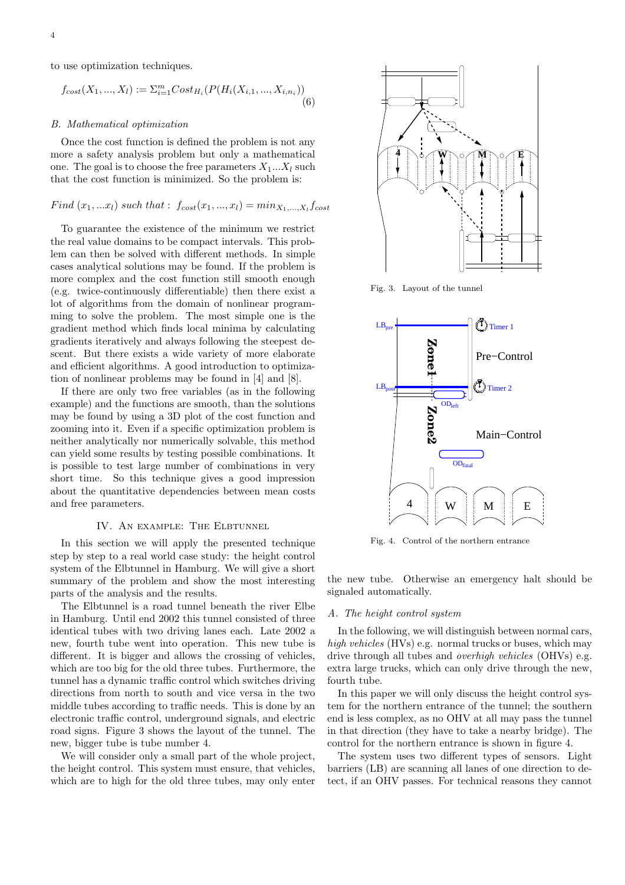to use optimization techniques.

$$
f_{cost}(X_1, ..., X_l) := \sum_{i=1}^{m} Cost_{H_i}(P(H_i(X_{i,1}, ..., X_{i,n_i}))
$$
\n(6)

### B. Mathematical optimization

Once the cost function is defined the problem is not any more a safety analysis problem but only a mathematical one. The goal is to choose the free parameters  $X_1...X_l$  such that the cost function is minimized. So the problem is:

# $Find (x_1, ... x_l) such that: f_{cost}(x_1, ..., x_l) = min_{X_1, ..., X_l} f_{cost}$

To guarantee the existence of the minimum we restrict the real value domains to be compact intervals. This problem can then be solved with different methods. In simple cases analytical solutions may be found. If the problem is more complex and the cost function still smooth enough (e.g. twice-continuously differentiable) then there exist a lot of algorithms from the domain of nonlinear programming to solve the problem. The most simple one is the gradient method which finds local minima by calculating gradients iteratively and always following the steepest descent. But there exists a wide variety of more elaborate and efficient algorithms. A good introduction to optimization of nonlinear problems may be found in [4] and [8].

If there are only two free variables (as in the following example) and the functions are smooth, than the solutions may be found by using a 3D plot of the cost function and zooming into it. Even if a specific optimization problem is neither analytically nor numerically solvable, this method can yield some results by testing possible combinations. It is possible to test large number of combinations in very short time. So this technique gives a good impression about the quantitative dependencies between mean costs and free parameters.

## IV. An example: The Elbtunnel

In this section we will apply the presented technique step by step to a real world case study: the height control system of the Elbtunnel in Hamburg. We will give a short summary of the problem and show the most interesting parts of the analysis and the results.

The Elbtunnel is a road tunnel beneath the river Elbe in Hamburg. Until end 2002 this tunnel consisted of three identical tubes with two driving lanes each. Late 2002 a new, fourth tube went into operation. This new tube is different. It is bigger and allows the crossing of vehicles, which are too big for the old three tubes. Furthermore, the tunnel has a dynamic traffic control which switches driving directions from north to south and vice versa in the two middle tubes according to traffic needs. This is done by an electronic traffic control, underground signals, and electric road signs. Figure 3 shows the layout of the tunnel. The new, bigger tube is tube number 4.

We will consider only a small part of the whole project, the height control. This system must ensure, that vehicles, which are to high for the old three tubes, may only enter



Fig. 3. Layout of the tunnel



Fig. 4. Control of the northern entrance

the new tube. Otherwise an emergency halt should be signaled automatically.

## A. The height control system

In the following, we will distinguish between normal cars, high vehicles (HVs) e.g. normal trucks or buses, which may drive through all tubes and overhigh vehicles (OHVs) e.g. extra large trucks, which can only drive through the new, fourth tube.

In this paper we will only discuss the height control system for the northern entrance of the tunnel; the southern end is less complex, as no OHV at all may pass the tunnel in that direction (they have to take a nearby bridge). The control for the northern entrance is shown in figure 4.

The system uses two different types of sensors. Light barriers (LB) are scanning all lanes of one direction to detect, if an OHV passes. For technical reasons they cannot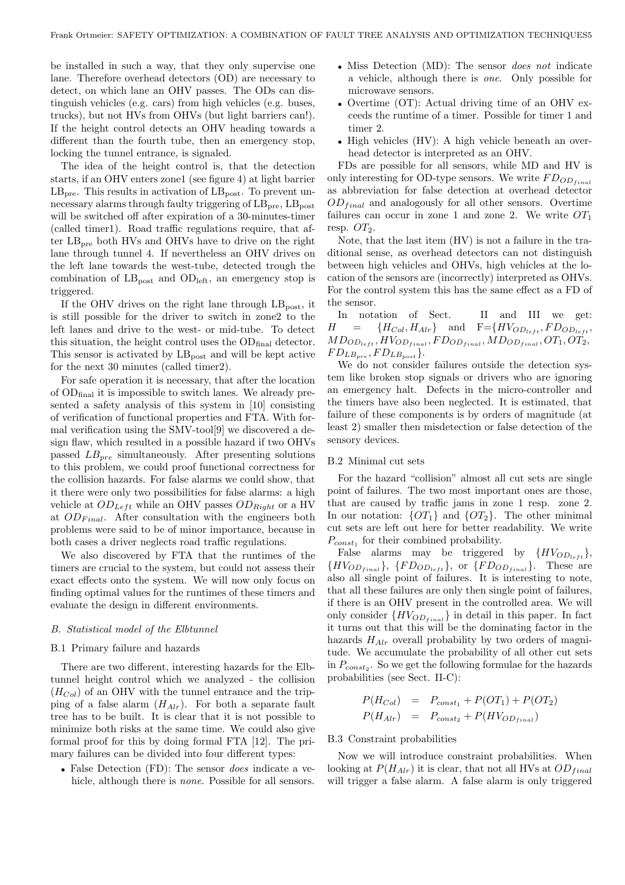be installed in such a way, that they only supervise one lane. Therefore overhead detectors (OD) are necessary to detect, on which lane an OHV passes. The ODs can distinguish vehicles (e.g. cars) from high vehicles (e.g. buses, trucks), but not HVs from OHVs (but light barriers can!). If the height control detects an OHV heading towards a different than the fourth tube, then an emergency stop, locking the tunnel entrance, is signaled.

The idea of the height control is, that the detection starts, if an OHV enters zone1 (see figure 4) at light barrier  $LB<sub>pre</sub>$ . This results in activation of  $LB<sub>post</sub>$ . To prevent unnecessary alarms through faulty triggering of  $LB<sub>pre</sub>, LB<sub>post</sub>$ will be switched off after expiration of a 30-minutes-timer (called timer1). Road traffic regulations require, that after  $LB<sub>pre</sub>$  both HVs and OHVs have to drive on the right lane through tunnel 4. If nevertheless an OHV drives on the left lane towards the west-tube, detected trough the combination of  $LB_{\text{post}}$  and  $OD_{\text{left}}$ , an emergency stop is triggered.

If the OHV drives on the right lane through  $LB_{\text{post}}$ , it is still possible for the driver to switch in zone2 to the left lanes and drive to the west- or mid-tube. To detect this situation, the height control uses the  $OD_{final}$  detector. This sensor is activated by  $LB_{\text{post}}$  and will be kept active for the next 30 minutes (called timer2).

For safe operation it is necessary, that after the location of  $OD_{final}$  it is impossible to switch lanes. We already presented a safety analysis of this system in [10] consisting of verification of functional properties and FTA. With formal verification using the SMV-tool[9] we discovered a design flaw, which resulted in a possible hazard if two OHVs passed  $LB_{pre}$  simultaneously. After presenting solutions to this problem, we could proof functional correctness for the collision hazards. For false alarms we could show, that it there were only two possibilities for false alarms: a high vehicle at  $OD_{Left}$  while an OHV passes  $OD_{Right}$  or a HV at  $OD_{Final}$ . After consultation with the engineers both problems were said to be of minor importance, because in both cases a driver neglects road traffic regulations.

We also discovered by FTA that the runtimes of the timers are crucial to the system, but could not assess their exact effects onto the system. We will now only focus on finding optimal values for the runtimes of these timers and evaluate the design in different environments.

#### B. Statistical model of the Elbtunnel

## B.1 Primary failure and hazards

There are two different, interesting hazards for the Elbtunnel height control which we analyzed - the collision  $(H_{Col})$  of an OHV with the tunnel entrance and the tripping of a false alarm  $(H_{Alr})$ . For both a separate fault tree has to be built. It is clear that it is not possible to minimize both risks at the same time. We could also give formal proof for this by doing formal FTA [12]. The primary failures can be divided into four different types:

• False Detection (FD): The sensor does indicate a vehicle, although there is *none*. Possible for all sensors.

- Miss Detection (MD): The sensor *does not* indicate a vehicle, although there is one. Only possible for microwave sensors.
- Overtime (OT): Actual driving time of an OHV exceeds the runtime of a timer. Possible for timer 1 and timer 2.
- High vehicles (HV): A high vehicle beneath an overhead detector is interpreted as an OHV.

FDs are possible for all sensors, while MD and HV is only interesting for OD-type sensors. We write  $FD_{OD_{final}}$ as abbreviation for false detection at overhead detector  $OD_{final}$  and analogously for all other sensors. Overtime failures can occur in zone 1 and zone 2. We write  $OT_1$ resp.  $OT<sub>2</sub>$ .

Note, that the last item (HV) is not a failure in the traditional sense, as overhead detectors can not distinguish between high vehicles and OHVs, high vehicles at the location of the sensors are (incorrectly) interpreted as OHVs. For the control system this has the same effect as a FD of the sensor.

In notation of Sect. II and III we get:  $H = \{H_{Col}, H_{Alr}\}$  and  $F = \{HV_{OD_{left}}, FD_{OD_{left}}\}$  $MD_{OD_{left}}, HV_{OD_{final}}, FD_{OD_{final}}, MD_{OD_{final}}, OT_1, OT_2,$  $FD_{LB_{pre}}, FD_{LB_{post}}\}.$ 

We do not consider failures outside the detection system like broken stop signals or drivers who are ignoring an emergency halt. Defects in the micro-controller and the timers have also been neglected. It is estimated, that failure of these components is by orders of magnitude (at least 2) smaller then misdetection or false detection of the sensory devices.

#### B.2 Minimal cut sets

For the hazard "collision" almost all cut sets are single point of failures. The two most important ones are those, that are caused by traffic jams in zone 1 resp. zone 2. In our notation:  $\{OT_1\}$  and  $\{OT_2\}$ . The other minimal cut sets are left out here for better readability. We write  $P_{const_1}$  for their combined probability.

False alarms may be triggered by  $\{HV_{OD_{left}}\},\$  ${H\!V_{OD_{final}}}, {F\!D_{OD_{left}}},$  or  ${F\!D_{OD_{final}}}.$  These are also all single point of failures. It is interesting to note, that all these failures are only then single point of failures, if there is an OHV present in the controlled area. We will only consider  $\{HV_{OD_{final}}\}$  in detail in this paper. In fact it turns out that this will be the dominating factor in the hazards  $H_{Alr}$  overall probability by two orders of magnitude. We accumulate the probability of all other cut sets in  $P_{const_2}$ . So we get the following formulae for the hazards probabilities (see Sect. II-C):

$$
P(H_{Col}) = P_{const_1} + P(OT_1) + P(OT_2)
$$
  

$$
P(H_{Alr}) = P_{const_2} + P(HV_{OD_{final}})
$$

#### B.3 Constraint probabilities

Now we will introduce constraint probabilities. When looking at  $P(H_{Alr})$  it is clear, that not all HVs at  $OD_{final}$ will trigger a false alarm. A false alarm is only triggered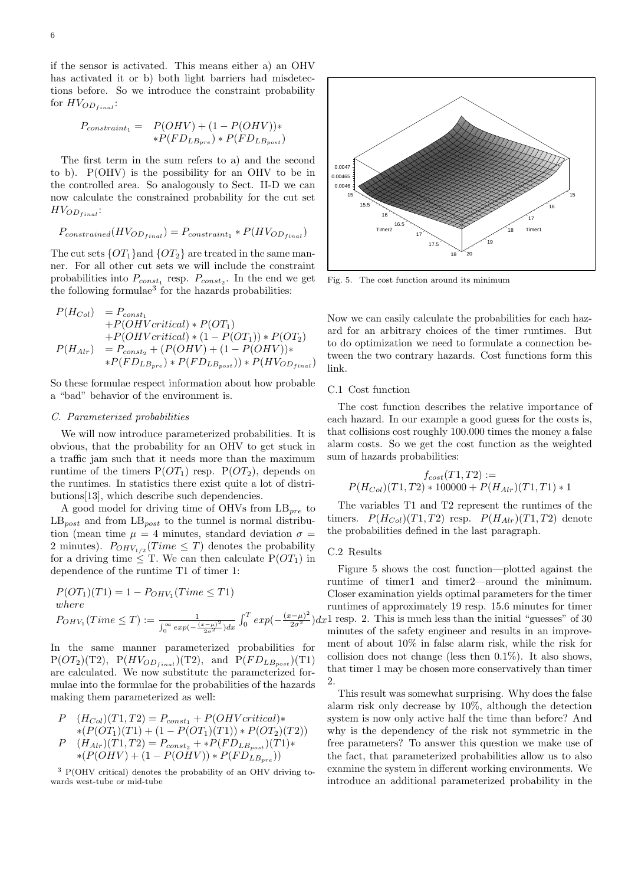if the sensor is activated. This means either a) an OHV has activated it or b) both light barriers had misdetections before. So we introduce the constraint probability for  $HV_{OD_{final}}$ :

$$
P_{constraint_1} = P(OHV) + (1 - P(OHV)) *
$$

$$
*P(FD_{LB_{pre}}) * P(FD_{LB_{post}})
$$

The first term in the sum refers to a) and the second to b). P(OHV) is the possibility for an OHV to be in the controlled area. So analogously to Sect. II-D we can now calculate the constrained probability for the cut set  $HV_{OD_{final}}$ :

$$
P_{constrained}(HV_{OD_{final}}) = P_{constraint_1} * P(HV_{OD_{final}})
$$

The cut sets  $\{OT_1\}$  and  $\{OT_2\}$  are treated in the same manner. For all other cut sets we will include the constraint probabilities into  $P_{const_1}$  resp.  $P_{const_2}$ . In the end we get the following formulae<sup>3</sup> for the hazards probabilities:

$$
P(H_{Col}) = P_{const_1}
$$
  
+ $P(OHVcritical) * P(OT_1)$   
+ $P(OHVcritical) * (1 - P(OT_1)) * P(OT_2)$   
 $P(H_{Alr}) = P_{const_2} + (P(OHV) + (1 - P(OHV)) ** $P(FD_{LB_{pre}}) * P(FD_{LB_{post}})) * P(HV_{OD_{final}})$$ 

So these formulae respect information about how probable a "bad" behavior of the environment is.

## C. Parameterized probabilities

We will now introduce parameterized probabilities. It is obvious, that the probability for an OHV to get stuck in a traffic jam such that it needs more than the maximum runtime of the timers  $P(OT_1)$  resp.  $P(OT_2)$ , depends on the runtimes. In statistics there exist quite a lot of distributions[13], which describe such dependencies.

A good model for driving time of OHVs from  $LB_{pre}$  to  $LB_{post}$  and from  $LB_{post}$  to the tunnel is normal distribution (mean time  $\mu = 4$  minutes, standard deviation  $\sigma =$ 2 minutes).  $P_{OHV_{1/2}}(Time \leq T)$  denotes the probability for a driving time  $\leq$  T. We can then calculate P(OT<sub>1</sub>) in dependence of the runtime T1 of timer 1:

$$
P(OT_1)(T1) = 1 - P_{OHV_1}(Time \le T1)
$$
  
where  

$$
P_{OHV_1}(Time \le T) := \frac{1}{\int_0^\infty exp(-\frac{(x-\mu)^2}{2\sigma^2})dx} \int_0^T exp(-\frac{(x-\mu)^2}{2\sigma^2})dx
$$

In the same manner parameterized probabilities for  $P(OT_2)(T2)$ ,  $P(HV_{OD_{final}})(T2)$ , and  $P(FD_{LB_{post}})(T1)$ are calculated. We now substitute the parameterized formulae into the formulae for the probabilities of the hazards making them parameterized as well:

$$
P (H_{Col})(T1, T2) = P_{const_1} + P(OHVertical) * \n*(P(OT_1)(T1) + (1 - P(OT_1)(T1)) * P(OT_2)(T2)) \nP (H_{Alr})(T1, T2) = P_{const_2} + *P(FD_{LB_{post}})(T1) * \n*(P(OHV) + (1 - P(OHV)) * P(FD_{LB_{pre}}))
$$

<sup>3</sup> P(OHV critical) denotes the probability of an OHV driving towards west-tube or mid-tube



Fig. 5. The cost function around its minimum

Now we can easily calculate the probabilities for each hazard for an arbitrary choices of the timer runtimes. But to do optimization we need to formulate a connection between the two contrary hazards. Cost functions form this link.

## C.1 Cost function

The cost function describes the relative importance of each hazard. In our example a good guess for the costs is, that collisions cost roughly 100.000 times the money a false alarm costs. So we get the cost function as the weighted sum of hazards probabilities:

$$
f_{cost}(T1, T2) :=
$$
  

$$
P(H_{Col})(T1, T2) * 100000 + P(H_{Alr})(T1, T1) * 1
$$

The variables T1 and T2 represent the runtimes of the timers.  $P(H_{Col})(T1, T2)$  resp.  $P(H_{Alr})(T1, T2)$  denote the probabilities defined in the last paragraph.

## C.2 Results

Figure 5 shows the cost function—plotted against the runtime of timer1 and timer2—around the minimum. Closer examination yields optimal parameters for the timer runtimes of approximately 19 resp. 15.6 minutes for timer 1 resp. 2. This is much less than the initial "guesses" of 30 minutes of the safety engineer and results in an improvement of about 10% in false alarm risk, while the risk for collision does not change (less then 0.1%). It also shows, that timer 1 may be chosen more conservatively than timer 2.

This result was somewhat surprising. Why does the false alarm risk only decrease by 10%, although the detection system is now only active half the time than before? And why is the dependency of the risk not symmetric in the free parameters? To answer this question we make use of the fact, that parameterized probabilities allow us to also examine the system in different working environments. We introduce an additional parameterized probability in the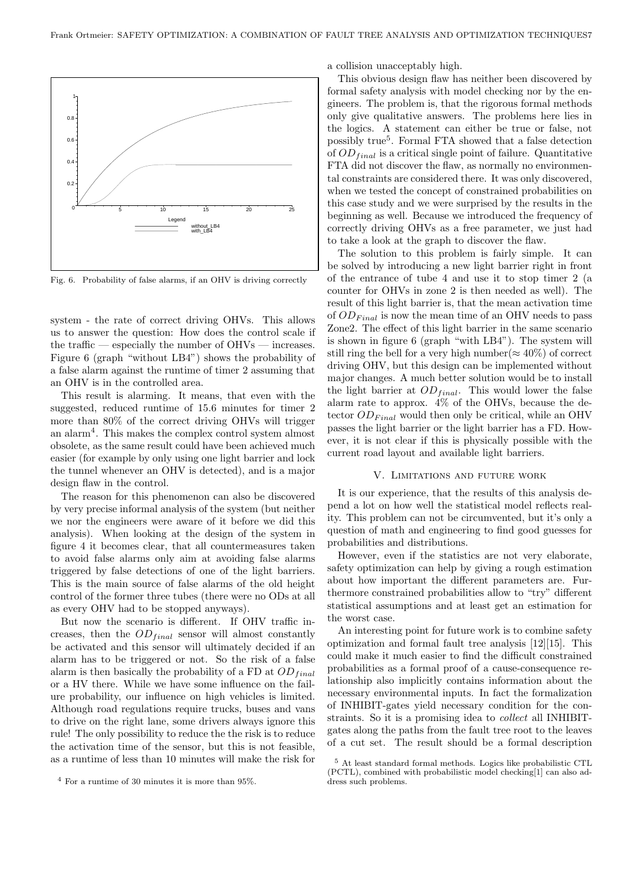

Fig. 6. Probability of false alarms, if an OHV is driving correctly

system - the rate of correct driving OHVs. This allows us to answer the question: How does the control scale if the traffic — especially the number of OHVs — increases. Figure 6 (graph "without LB4") shows the probability of a false alarm against the runtime of timer 2 assuming that an OHV is in the controlled area.

This result is alarming. It means, that even with the suggested, reduced runtime of 15.6 minutes for timer 2 more than 80% of the correct driving OHVs will trigger an alarm<sup>4</sup> . This makes the complex control system almost obsolete, as the same result could have been achieved much easier (for example by only using one light barrier and lock the tunnel whenever an OHV is detected), and is a major design flaw in the control.

The reason for this phenomenon can also be discovered by very precise informal analysis of the system (but neither we nor the engineers were aware of it before we did this analysis). When looking at the design of the system in figure 4 it becomes clear, that all countermeasures taken to avoid false alarms only aim at avoiding false alarms triggered by false detections of one of the light barriers. This is the main source of false alarms of the old height control of the former three tubes (there were no ODs at all as every OHV had to be stopped anyways).

But now the scenario is different. If OHV traffic increases, then the  $OD_{final}$  sensor will almost constantly be activated and this sensor will ultimately decided if an alarm has to be triggered or not. So the risk of a false alarm is then basically the probability of a FD at  $OD_{final}$ or a HV there. While we have some influence on the failure probability, our influence on high vehicles is limited. Although road regulations require trucks, buses and vans to drive on the right lane, some drivers always ignore this rule! The only possibility to reduce the the risk is to reduce the activation time of the sensor, but this is not feasible, as a runtime of less than 10 minutes will make the risk for

a collision unacceptably high.

This obvious design flaw has neither been discovered by formal safety analysis with model checking nor by the engineers. The problem is, that the rigorous formal methods only give qualitative answers. The problems here lies in the logics. A statement can either be true or false, not possibly true<sup>5</sup>. Formal FTA showed that a false detection of  $OD_{final}$  is a critical single point of failure. Quantitative FTA did not discover the flaw, as normally no environmental constraints are considered there. It was only discovered, when we tested the concept of constrained probabilities on this case study and we were surprised by the results in the beginning as well. Because we introduced the frequency of correctly driving OHVs as a free parameter, we just had to take a look at the graph to discover the flaw.

The solution to this problem is fairly simple. It can be solved by introducing a new light barrier right in front of the entrance of tube 4 and use it to stop timer 2 (a counter for OHVs in zone 2 is then needed as well). The result of this light barrier is, that the mean activation time of  $OD_{Final}$  is now the mean time of an OHV needs to pass Zone2. The effect of this light barrier in the same scenario is shown in figure 6 (graph "with LB4"). The system will still ring the bell for a very high number( $\approx 40\%$ ) of correct driving OHV, but this design can be implemented without major changes. A much better solution would be to install the light barrier at  $OD_{final}$ . This would lower the false alarm rate to approx. 4% of the OHVs, because the detector  $OD_{Final}$  would then only be critical, while an OHV passes the light barrier or the light barrier has a FD. However, it is not clear if this is physically possible with the current road layout and available light barriers.

## V. Limitations and future work

It is our experience, that the results of this analysis depend a lot on how well the statistical model reflects reality. This problem can not be circumvented, but it's only a question of math and engineering to find good guesses for probabilities and distributions.

However, even if the statistics are not very elaborate, safety optimization can help by giving a rough estimation about how important the different parameters are. Furthermore constrained probabilities allow to "try" different statistical assumptions and at least get an estimation for the worst case.

An interesting point for future work is to combine safety optimization and formal fault tree analysis [12][15]. This could make it much easier to find the difficult constrained probabilities as a formal proof of a cause-consequence relationship also implicitly contains information about the necessary environmental inputs. In fact the formalization of INHIBIT-gates yield necessary condition for the constraints. So it is a promising idea to collect all INHIBITgates along the paths from the fault tree root to the leaves of a cut set. The result should be a formal description

<sup>4</sup> For a runtime of 30 minutes it is more than 95%.

<sup>5</sup> At least standard formal methods. Logics like probabilistic CTL (PCTL), combined with probabilistic model checking[1] can also address such problems.